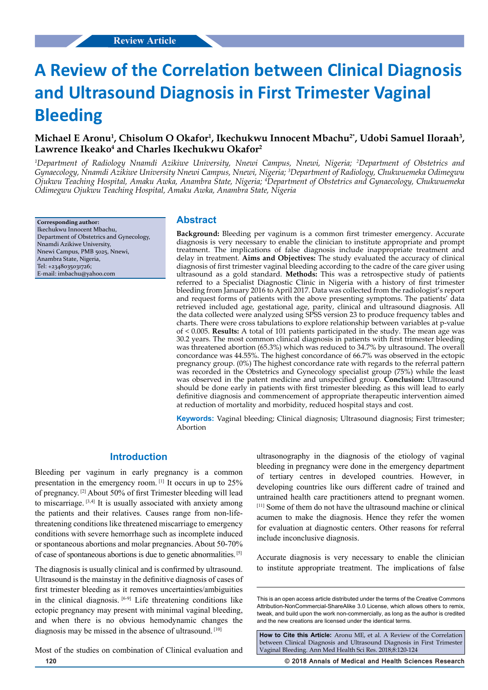# **A Review of the Correlation between Clinical Diagnosis and Ultrasound Diagnosis in First Trimester Vaginal Bleeding**

# **Michael E Aronu1 , Chisolum O Okafor1 , Ikechukwu Innocent Mbachu2\*, Udobi Samuel Iloraah3 , Lawrence Ikeako4 and Charles Ikechukwu Okafor2**

*1 Department of Radiology Nnamdi Azikiwe University, Nnewi Campus, Nnewi, Nigeria; 2 Department of Obstetrics and Gynaecology, Nnamdi Azikiwe University Nnewi Campus, Nnewi, Nigeria; 3 Department of Radiology, Chukwuemeka Odimegwu Ojukwu Teaching Hospital, Amaku Awka, Anambra State, Nigeria; 4 Department of Obstetrics and Gynaecology, Chukwuemeka Odimegwu Ojukwu Teaching Hospital, Amaku Awka, Anambra State, Nigeria*

**Corresponding author:** Ikechukwu Innocent Mbachu, Department of Obstetrics and Gynecology, Nnamdi Azikiwe University, Nnewi Campus, PMB 5025, Nnewi, Anambra State, Nigeria, Tel: +2348035031726; E-mail: imbachu@yahoo.com

## **Abstract**

**Background:** Bleeding per vaginum is a common first trimester emergency. Accurate diagnosis is very necessary to enable the clinician to institute appropriate and prompt treatment. The implications of false diagnosis include inappropriate treatment and delay in treatment. **Aims and Objectives:** The study evaluated the accuracy of clinical diagnosis of first trimester vaginal bleeding according to the cadre of the care giver using ultrasound as a gold standard. **Methods:** This was a retrospective study of patients referred to a Specialist Diagnostic Clinic in Nigeria with a history of first trimester bleeding from January 2016 to April 2017. Data was collected from the radiologist's report and request forms of patients with the above presenting symptoms. The patients' data retrieved included age, gestational age, parity, clinical and ultrasound diagnosis. All the data collected were analyzed using SPSS version 23 to produce frequency tables and charts. There were cross tabulations to explore relationship between variables at p-value of < 0.005. **Results:** A total of 101 patients participated in the study. The mean age was 30.2 years. The most common clinical diagnosis in patients with first trimester bleeding was threatened abortion (65.3%) which was reduced to 34.7% by ultrasound. The overall concordance was 44.55%. The highest concordance of 66.7% was observed in the ectopic pregnancy group. (0%) The highest concordance rate with regards to the referral pattern was recorded in the Obstetrics and Gynecology specialist group (75%) while the least was observed in the patent medicine and unspecified group. **Conclusion:** Ultrasound should be done early in patients with first trimester bleeding as this will lead to early definitive diagnosis and commencement of appropriate therapeutic intervention aimed at reduction of mortality and morbidity, reduced hospital stays and cost.

**Keywords:** Vaginal bleeding; Clinical diagnosis; Ultrasound diagnosis; First trimester; Abortion

## **Introduction**

Bleeding per vaginum in early pregnancy is a common presentation in the emergency room. [1] It occurs in up to 25% of pregnancy. [2] About 50% of first Trimester bleeding will lead to miscarriage. [3,4] It is usually associated with anxiety among the patients and their relatives. Causes range from non-lifethreatening conditions like threatened miscarriage to emergency conditions with severe hemorrhage such as incomplete induced or spontaneous abortions and molar pregnancies. About 50-70% of case of spontaneous abortions is due to genetic abnormalities. [5]

The diagnosis is usually clinical and is confirmed by ultrasound. Ultrasound is the mainstay in the definitive diagnosis of cases of first trimester bleeding as it removes uncertainties/ambiguities in the clinical diagnosis.  $[6-9]$  Life threatening conditions like ectopic pregnancy may present with minimal vaginal bleeding, and when there is no obvious hemodynamic changes the diagnosis may be missed in the absence of ultrasound. [10]

Most of the studies on combination of Clinical evaluation and

ultrasonography in the diagnosis of the etiology of vaginal bleeding in pregnancy were done in the emergency department of tertiary centres in developed countries. However, in developing countries like ours different cadre of trained and untrained health care practitioners attend to pregnant women. [11] Some of them do not have the ultrasound machine or clinical acumen to make the diagnosis. Hence they refer the women for evaluation at diagnostic centers. Other reasons for referral include inconclusive diagnosis.

Accurate diagnosis is very necessary to enable the clinician to institute appropriate treatment. The implications of false

**How to Cite this Article:** Aronu ME, et al. A Review of the Correlation between Clinical Diagnosis and Ultrasound Diagnosis in First Trimester Vaginal Bleeding. Ann Med Health Sci Res. 2018;8:120-124

**120 © 2018 Annals of Medical and Health Sciences Research** 

This is an open access article distributed under the terms of the Creative Commons Attribution-NonCommercial-ShareAlike 3.0 License, which allows others to remix, tweak, and build upon the work non‑commercially, as long as the author is credited and the new creations are licensed under the identical terms.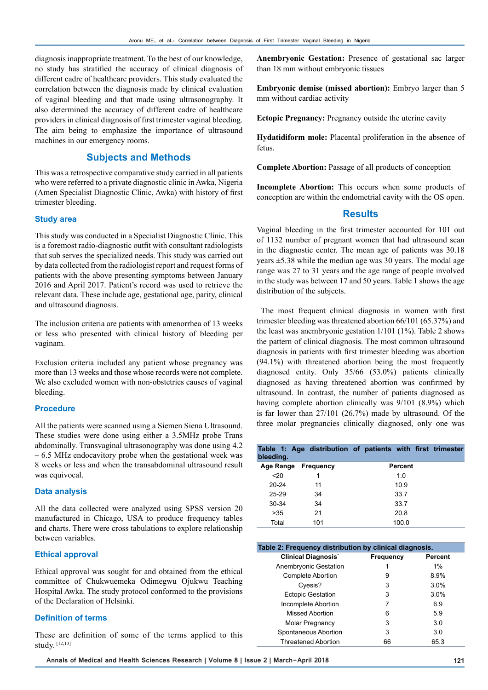diagnosis inappropriate treatment. To the best of our knowledge, no study has stratified the accuracy of clinical diagnosis of different cadre of healthcare providers. This study evaluated the correlation between the diagnosis made by clinical evaluation of vaginal bleeding and that made using ultrasonography. It also determined the accuracy of different cadre of healthcare providers in clinical diagnosis of first trimester vaginal bleeding. The aim being to emphasize the importance of ultrasound machines in our emergency rooms.

## **Subjects and Methods**

This was a retrospective comparative study carried in all patients who were referred to a private diagnostic clinic in Awka, Nigeria (Amen Specialist Diagnostic Clinic, Awka) with history of first trimester bleeding.

#### **Study area**

This study was conducted in a Specialist Diagnostic Clinic. This is a foremost radio-diagnostic outfit with consultant radiologists that sub serves the specialized needs. This study was carried out by data collected from the radiologist report and request forms of patients with the above presenting symptoms between January 2016 and April 2017. Patient's record was used to retrieve the relevant data. These include age, gestational age, parity, clinical and ultrasound diagnosis.

The inclusion criteria are patients with amenorrhea of 13 weeks or less who presented with clinical history of bleeding per vaginam.

Exclusion criteria included any patient whose pregnancy was more than 13 weeks and those whose records were not complete. We also excluded women with non-obstetrics causes of vaginal bleeding.

#### **Procedure**

All the patients were scanned using a Siemen Siena Ultrasound. These studies were done using either a 3.5MHz probe Trans abdominally. Transvaginal ultrasonography was done using 4.2 – 6.5 MHz endocavitory probe when the gestational week was 8 weeks or less and when the transabdominal ultrasound result was equivocal.

#### **Data analysis**

All the data collected were analyzed using SPSS version 20 manufactured in Chicago, USA to produce frequency tables and charts. There were cross tabulations to explore relationship between variables.

#### **Ethical approval**

Ethical approval was sought for and obtained from the ethical committee of Chukwuemeka Odimegwu Ojukwu Teaching Hospital Awka. The study protocol conformed to the provisions of the Declaration of Helsinki.

#### **Definition of terms**

These are definition of some of the terms applied to this study. [12,13]

**Anembryonic Gestation:** Presence of gestational sac larger than 18 mm without embryonic tissues

**Embryonic demise (missed abortion):** Embryo larger than 5 mm without cardiac activity

**Ectopic Pregnancy:** Pregnancy outside the uterine cavity

**Hydatidiform mole:** Placental proliferation in the absence of fetus.

**Complete Abortion:** Passage of all products of conception

**Incomplete Abortion:** This occurs when some products of conception are within the endometrial cavity with the OS open.

# **Results**

Vaginal bleeding in the first trimester accounted for 101 out of 1132 number of pregnant women that had ultrasound scan in the diagnostic center. The mean age of patients was 30.18 years ±5.38 while the median age was 30 years. The modal age range was 27 to 31 years and the age range of people involved in the study was between 17 and 50 years. Table 1 shows the age distribution of the subjects.

 The most frequent clinical diagnosis in women with first trimester bleeding was threatened abortion 66/101 (65.37%) and the least was anembryonic gestation 1/101 (1%). Table 2 shows the pattern of clinical diagnosis. The most common ultrasound diagnosis in patients with first trimester bleeding was abortion (94.1%) with threatened abortion being the most frequently diagnosed entity. Only 35/66 (53.0%) patients clinically diagnosed as having threatened abortion was confirmed by ultrasound. In contrast, the number of patients diagnosed as having complete abortion clinically was 9/101 (8.9%) which is far lower than 27/101 (26.7%) made by ultrasound. Of the three molar pregnancies clinically diagnosed, only one was

| bleeding. |           | Table 1: Age distribution of patients with first trimester |
|-----------|-----------|------------------------------------------------------------|
| Age Range | Frequency | Percent                                                    |
| 20        |           | 1.0                                                        |
| $20 - 24$ | 11        | 10.9                                                       |
| $25 - 29$ | 34        | 33.7                                                       |
| $30-34$   | 34        | 33.7                                                       |
| >35       | 21        | 20.8                                                       |
| Total     | 101       | 100.0                                                      |

| Table 2: Frequency distribution by clinical diagnosis. |           |         |  |  |  |  |
|--------------------------------------------------------|-----------|---------|--|--|--|--|
| <b>Clinical Diagnosis</b>                              | Frequency | Percent |  |  |  |  |
| Anembryonic Gestation                                  |           | $1\%$   |  |  |  |  |
| <b>Complete Abortion</b>                               | 9         | 8.9%    |  |  |  |  |
| Cyesis?                                                | 3         | 3.0%    |  |  |  |  |
| <b>Ectopic Gestation</b>                               | 3         | 3.0%    |  |  |  |  |
| Incomplete Abortion                                    | 7         | 6.9     |  |  |  |  |
| Missed Abortion                                        | 6         | 5.9     |  |  |  |  |
| <b>Molar Pregnancy</b>                                 | 3         | 3.0     |  |  |  |  |
| Spontaneous Abortion                                   | 3         | 3.0     |  |  |  |  |
| <b>Threatened Abortion</b>                             | 66        | 65.3    |  |  |  |  |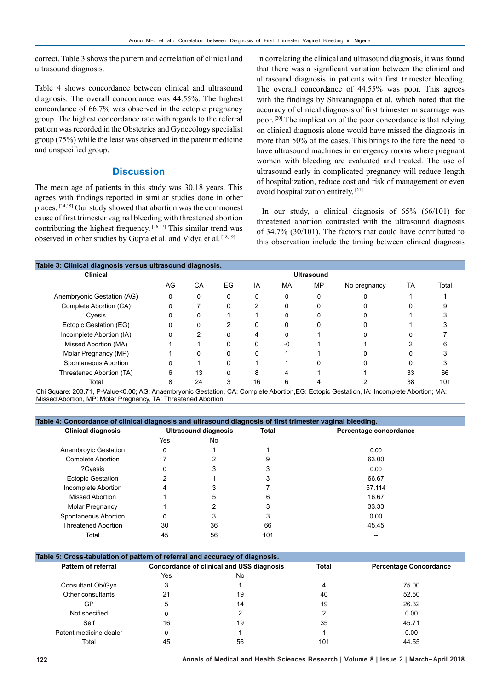correct. Table 3 shows the pattern and correlation of clinical and ultrasound diagnosis.

Table 4 shows concordance between clinical and ultrasound diagnosis. The overall concordance was 44.55%. The highest concordance of 66.7% was observed in the ectopic pregnancy group. The highest concordance rate with regards to the referral pattern was recorded in the Obstetrics and Gynecology specialist group (75%) while the least was observed in the patent medicine and unspecified group.

## **Discussion**

The mean age of patients in this study was 30.18 years. This agrees with findings reported in similar studies done in other places. [14,15] Our study showed that abortion was the commonest cause of first trimester vaginal bleeding with threatened abortion contributing the highest frequency. [16,17] This similar trend was observed in other studies by Gupta et al. and Vidya et al. [18,19]

In correlating the clinical and ultrasound diagnosis, it was found that there was a significant variation between the clinical and ultrasound diagnosis in patients with first trimester bleeding. The overall concordance of 44.55% was poor. This agrees with the findings by Shivanagappa et al. which noted that the accuracy of clinical diagnosis of first trimester miscarriage was poor. [20] The implication of the poor concordance is that relying on clinical diagnosis alone would have missed the diagnosis in more than 50% of the cases. This brings to the fore the need to have ultrasound machines in emergency rooms where pregnant women with bleeding are evaluated and treated. The use of ultrasound early in complicated pregnancy will reduce length of hospitalization, reduce cost and risk of management or even avoid hospitalization entirely. [21]

 In our study, a clinical diagnosis of 65% (66/101) for threatened abortion contrasted with the ultrasound diagnosis of 34.7% (30/101). The factors that could have contributed to this observation include the timing between clinical diagnosis

| Table 3: Clinical diagnosis versus ultrasound diagnosis. |          |          |    |          |           |              |    |       |
|----------------------------------------------------------|----------|----------|----|----------|-----------|--------------|----|-------|
| <b>Ultrasound</b>                                        |          |          |    |          |           |              |    |       |
| AG                                                       | СA       | EG       | IA | MA       | <b>MP</b> | No pregnancy | TA | Total |
| $\Omega$                                                 | $\Omega$ | $\Omega$ |    | $\Omega$ |           |              |    |       |
|                                                          |          | 0        | 2  | O        |           |              |    |       |
|                                                          | $\Omega$ |          |    | O        |           |              |    |       |
|                                                          | $\Omega$ | ົ        |    |          |           |              |    |       |
|                                                          | ົ        |          | 4  |          |           |              |    |       |
|                                                          |          | 0        |    | -0       |           |              |    |       |
|                                                          |          |          |    |          |           |              |    |       |
|                                                          |          |          |    |          |           |              |    |       |
| 6                                                        | 13       |          | 8  |          |           |              | 33 | 66    |
|                                                          | 24       |          | 16 | h        |           |              | 38 | 101   |
|                                                          |          |          |    |          |           |              |    |       |

Chi Square: 203.71, P-Value<0.00; AG: Anaembryonic Gestation, CA: Complete Abortion,EG: Ectopic Gestation, IA: Incomplete Abortion; MA: Missed Abortion, MP: Molar Pregnancy, TA: Threatened Abortion

| Table 4: Concordance of clinical diagnosis and ultrasound diagnosis of first trimester vaginal bleeding. |     |                             |              |                        |  |  |  |
|----------------------------------------------------------------------------------------------------------|-----|-----------------------------|--------------|------------------------|--|--|--|
| <b>Clinical diagnosis</b>                                                                                |     | <b>Ultrasound diagnosis</b> | <b>Total</b> | Percentage concordance |  |  |  |
|                                                                                                          | Yes | No                          |              |                        |  |  |  |
| Anembrovic Gestation                                                                                     | 0   |                             |              | 0.00                   |  |  |  |
| Complete Abortion                                                                                        |     | າ                           | 9            | 63.00                  |  |  |  |
| ?Cvesis                                                                                                  | 0   | 3                           | 3            | 0.00                   |  |  |  |
| <b>Ectopic Gestation</b>                                                                                 | 2   |                             | 3            | 66.67                  |  |  |  |
| Incomplete Abortion                                                                                      | 4   | 3                           |              | 57.114                 |  |  |  |
| Missed Abortion                                                                                          |     | 5                           | 6            | 16.67                  |  |  |  |
| Molar Pregnancy                                                                                          |     | າ                           | 3            | 33.33                  |  |  |  |
| Spontaneous Abortion                                                                                     | 0   | 3                           | 3            | 0.00                   |  |  |  |
| <b>Threatened Abortion</b>                                                                               | 30  | 36                          | 66           | 45.45                  |  |  |  |
| Total                                                                                                    | 45  | 56                          | 101          | --                     |  |  |  |

| Table 5: Cross-tabulation of pattern of referral and accuracy of diagnosis. |                                           |    |              |                               |  |  |  |
|-----------------------------------------------------------------------------|-------------------------------------------|----|--------------|-------------------------------|--|--|--|
| <b>Pattern of referral</b>                                                  | Concordance of clinical and USS diagnosis |    | <b>Total</b> | <b>Percentage Concordance</b> |  |  |  |
|                                                                             | Yes                                       | No |              |                               |  |  |  |
| Consultant Ob/Gyn                                                           | 3                                         |    | 4            | 75.00                         |  |  |  |
| Other consultants                                                           | 21                                        | 19 | 40           | 52.50                         |  |  |  |
| GP                                                                          | 5                                         | 14 | 19           | 26.32                         |  |  |  |
| Not specified                                                               |                                           |    |              | 0.00                          |  |  |  |
| Self                                                                        | 16                                        | 19 | 35           | 45.71                         |  |  |  |
| Patent medicine dealer                                                      | 0                                         |    |              | 0.00                          |  |  |  |
| Total                                                                       | 45                                        | 56 | 101          | 44.55                         |  |  |  |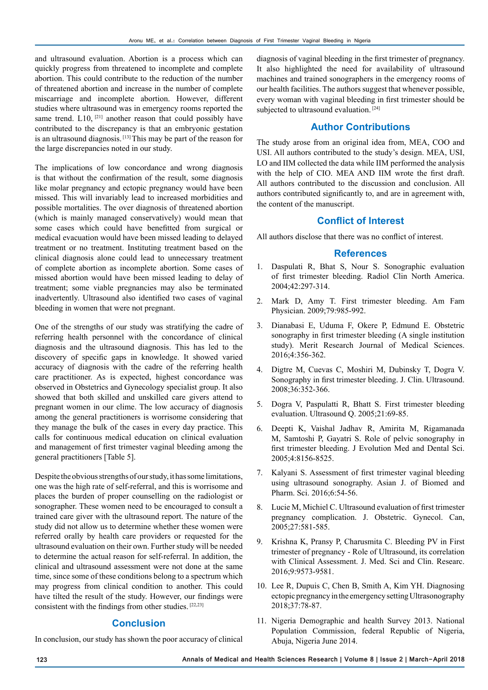and ultrasound evaluation. Abortion is a process which can quickly progress from threatened to incomplete and complete abortion. This could contribute to the reduction of the number of threatened abortion and increase in the number of complete miscarriage and incomplete abortion. However, different studies where ultrasound was in emergency rooms reported the same trend.  $L10$ , <sup>[21]</sup> another reason that could possibly have contributed to the discrepancy is that an embryonic gestation is an ultrasound diagnosis. [13] This may be part of the reason for the large discrepancies noted in our study.

The implications of low concordance and wrong diagnosis is that without the confirmation of the result, some diagnosis like molar pregnancy and ectopic pregnancy would have been missed. This will invariably lead to increased morbidities and possible mortalities. The over diagnosis of threatened abortion (which is mainly managed conservatively) would mean that some cases which could have benefitted from surgical or medical evacuation would have been missed leading to delayed treatment or no treatment. Instituting treatment based on the clinical diagnosis alone could lead to unnecessary treatment of complete abortion as incomplete abortion. Some cases of missed abortion would have been missed leading to delay of treatment; some viable pregnancies may also be terminated inadvertently. Ultrasound also identified two cases of vaginal bleeding in women that were not pregnant.

One of the strengths of our study was stratifying the cadre of referring health personnel with the concordance of clinical diagnosis and the ultrasound diagnosis. This has led to the discovery of specific gaps in knowledge. It showed varied accuracy of diagnosis with the cadre of the referring health care practitioner. As is expected, highest concordance was observed in Obstetrics and Gynecology specialist group. It also showed that both skilled and unskilled care givers attend to pregnant women in our clime. The low accuracy of diagnosis among the general practitioners is worrisome considering that they manage the bulk of the cases in every day practice. This calls for continuous medical education on clinical evaluation and management of first trimester vaginal bleeding among the general practitioners [Table 5].

Despite the obvious strengths of our study, it has some limitations, one was the high rate of self-referral, and this is worrisome and places the burden of proper counselling on the radiologist or sonographer. These women need to be encouraged to consult a trained care giver with the ultrasound report. The nature of the study did not allow us to determine whether these women were referred orally by health care providers or requested for the ultrasound evaluation on their own. Further study will be needed to determine the actual reason for self-referral. In addition, the clinical and ultrasound assessment were not done at the same time, since some of these conditions belong to a spectrum which may progress from clinical condition to another. This could have tilted the result of the study. However, our findings were consistent with the findings from other studies.  $[22,23]$ 

## **Conclusion**

In conclusion, our study has shown the poor accuracy of clinical

diagnosis of vaginal bleeding in the first trimester of pregnancy. It also highlighted the need for availability of ultrasound machines and trained sonographers in the emergency rooms of our health facilities. The authors suggest that whenever possible, every woman with vaginal bleeding in first trimester should be subjected to ultrasound evaluation.<sup>[24]</sup>

## **Author Contributions**

The study arose from an original idea from, MEA, COO and USI. All authors contributed to the study's design. MEA, USI, LO and IIM collected the data while IIM performed the analysis with the help of CIO. MEA AND IIM wrote the first draft. All authors contributed to the discussion and conclusion. All authors contributed significantly to, and are in agreement with, the content of the manuscript.

## **Conflict of Interest**

All authors disclose that there was no conflict of interest.

#### **References**

- 1. Daspulati R, Bhat S, Nour S. Sonographic evaluation of first trimester bleeding. Radiol Clin North America. 2004;42:297-314.
- 2. Mark D, Amy T. First trimester bleeding. Am Fam Physician. 2009;79:985-992.
- 3. Dianabasi E, Uduma F, Okere P, Edmund E. Obstetric sonography in first trimester bleeding (A single institution study). Merit Research Journal of Medical Sciences. 2016;4:356-362.
- 4. Digtre M, Cuevas C, Moshiri M, Dubinsky T, Dogra V. Sonography in first trimester bleeding. J. Clin. Ultrasound. 2008;36:352-366.
- 5. Dogra V, Paspulatti R, Bhatt S. First trimester bleeding evaluation. Ultrasound Q. 2005;21:69-85.
- 6. Deepti K, Vaishal Jadhav R, Amirita M, Rigamanada M, Samtoshi P, Gayatri S. Role of pelvic sonography in first trimester bleeding. J Evolution Med and Dental Sci. 2005;4:8156-8525.
- 7. Kalyani S. Assessment of first trimester vaginal bleeding using ultrasound sonography. Asian J. of Biomed and Pharm. Sci. 2016;6:54-56.
- 8. Lucie M, Michiel C. Ultrasound evaluation of first trimester pregnancy complication. J. Obstetric. Gynecol. Can, 2005;27:581-585.
- 9. Krishna K, Pransy P, Charusmita C. Bleeding PV in First trimester of pregnancy - Role of Ultrasound, its correlation with Clinical Assessment. J. Med. Sci and Clin. Researc. 2016;9:9573-9581.
- 10. Lee R, Dupuis C, Chen B, Smith A, Kim YH. Diagnosing ectopic pregnancy in the emergency setting Ultrasonography 2018;37:78-87.
- 11. Nigeria Demographic and health Survey 2013. National Population Commission, federal Republic of Nigeria, Abuja, Nigeria June 2014.